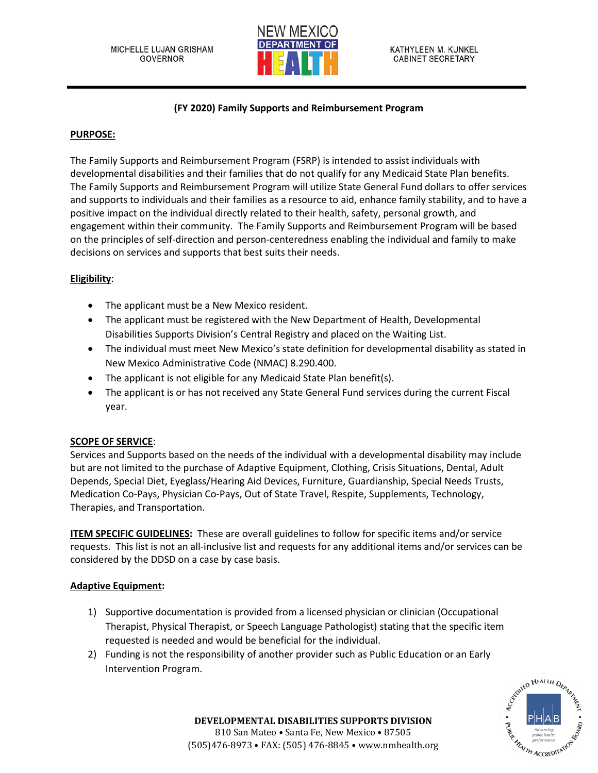

# **(FY 2020) Family Supports and Reimbursement Program**

## **PURPOSE:**

The Family Supports and Reimbursement Program (FSRP) is intended to assist individuals with developmental disabilities and their families that do not qualify for any Medicaid State Plan benefits. The Family Supports and Reimbursement Program will utilize State General Fund dollars to offer services and supports to individuals and their families as a resource to aid, enhance family stability, and to have a positive impact on the individual directly related to their health, safety, personal growth, and engagement within their community. The Family Supports and Reimbursement Program will be based on the principles of self-direction and person-centeredness enabling the individual and family to make decisions on services and supports that best suits their needs.

## **Eligibility**:

- The applicant must be a New Mexico resident.
- The applicant must be registered with the New Department of Health, Developmental Disabilities Supports Division's Central Registry and placed on the Waiting List.
- The individual must meet New Mexico's state definition for developmental disability as stated in New Mexico Administrative Code (NMAC) 8.290.400.
- The applicant is not eligible for any Medicaid State Plan benefit(s).
- The applicant is or has not received any State General Fund services during the current Fiscal year.

### **SCOPE OF SERVICE**:

Services and Supports based on the needs of the individual with a developmental disability may include but are not limited to the purchase of Adaptive Equipment, Clothing, Crisis Situations, Dental, Adult Depends, Special Diet, Eyeglass/Hearing Aid Devices, Furniture, Guardianship, Special Needs Trusts, Medication Co-Pays, Physician Co-Pays, Out of State Travel, Respite, Supplements, Technology, Therapies, and Transportation.

**ITEM SPECIFIC GUIDELINES:** These are overall guidelines to follow for specific items and/or service requests. This list is not an all-inclusive list and requests for any additional items and/or services can be considered by the DDSD on a case by case basis.

### **Adaptive Equipment:**

- 1) Supportive documentation is provided from a licensed physician or clinician (Occupational Therapist, Physical Therapist, or Speech Language Pathologist) stating that the specific item requested is needed and would be beneficial for the individual.
- 2) Funding is not the responsibility of another provider such as Public Education or an Early Intervention Program.

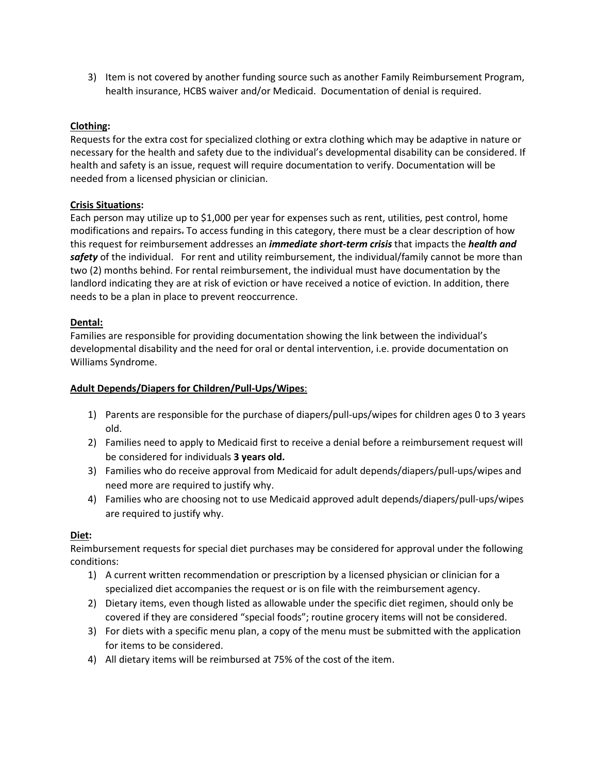3) Item is not covered by another funding source such as another Family Reimbursement Program, health insurance, HCBS waiver and/or Medicaid. Documentation of denial is required.

# **Clothing:**

Requests for the extra cost for specialized clothing or extra clothing which may be adaptive in nature or necessary for the health and safety due to the individual's developmental disability can be considered. If health and safety is an issue, request will require documentation to verify. Documentation will be needed from a licensed physician or clinician.

### **Crisis Situations:**

Each person may utilize up to \$1,000 per year for expenses such as rent, utilities, pest control, home modifications and repairs. To access funding in this category, there must be a clear description of how this request for reimbursement addresses an *immediate short-term crisis* that impacts the *health and safety* of the individual. For rent and utility reimbursement, the individual/family cannot be more than two (2) months behind. For rental reimbursement, the individual must have documentation by the landlord indicating they are at risk of eviction or have received a notice of eviction. In addition, there needs to be a plan in place to prevent reoccurrence.

### **Dental:**

Families are responsible for providing documentation showing the link between the individual's developmental disability and the need for oral or dental intervention, i.e. provide documentation on Williams Syndrome.

### **Adult Depends/Diapers for Children/Pull-Ups/Wipes**:

- 1) Parents are responsible for the purchase of diapers/pull-ups/wipes for children ages 0 to 3 years old.
- 2) Families need to apply to Medicaid first to receive a denial before a reimbursement request will be considered for individuals **3 years old.**
- 3) Families who do receive approval from Medicaid for adult depends/diapers/pull-ups/wipes and need more are required to justify why.
- 4) Families who are choosing not to use Medicaid approved adult depends/diapers/pull-ups/wipes are required to justify why.

### **Diet:**

Reimbursement requests for special diet purchases may be considered for approval under the following conditions:

- 1) A current written recommendation or prescription by a licensed physician or clinician for a specialized diet accompanies the request or is on file with the reimbursement agency.
- 2) Dietary items, even though listed as allowable under the specific diet regimen, should only be covered if they are considered "special foods"; routine grocery items will not be considered.
- 3) For diets with a specific menu plan, a copy of the menu must be submitted with the application for items to be considered.
- 4) All dietary items will be reimbursed at 75% of the cost of the item.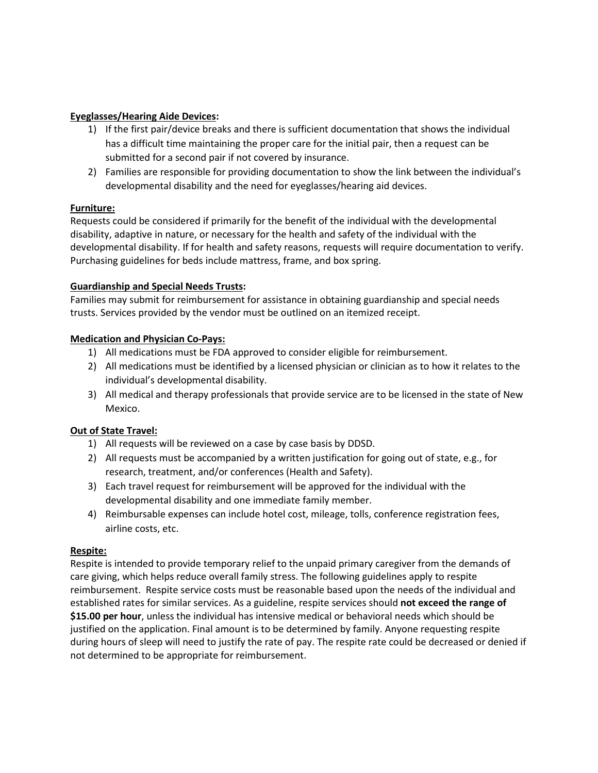### **Eyeglasses/Hearing Aide Devices:**

- 1) If the first pair/device breaks and there is sufficient documentation that shows the individual has a difficult time maintaining the proper care for the initial pair, then a request can be submitted for a second pair if not covered by insurance.
- 2) Families are responsible for providing documentation to show the link between the individual's developmental disability and the need for eyeglasses/hearing aid devices.

# **Furniture:**

Requests could be considered if primarily for the benefit of the individual with the developmental disability, adaptive in nature, or necessary for the health and safety of the individual with the developmental disability. If for health and safety reasons, requests will require documentation to verify. Purchasing guidelines for beds include mattress, frame, and box spring.

## **Guardianship and Special Needs Trusts:**

Families may submit for reimbursement for assistance in obtaining guardianship and special needs trusts. Services provided by the vendor must be outlined on an itemized receipt.

## **Medication and Physician Co-Pays:**

- 1) All medications must be FDA approved to consider eligible for reimbursement.
- 2) All medications must be identified by a licensed physician or clinician as to how it relates to the individual's developmental disability.
- 3) All medical and therapy professionals that provide service are to be licensed in the state of New Mexico.

# **Out of State Travel:**

- 1) All requests will be reviewed on a case by case basis by DDSD.
- 2) All requests must be accompanied by a written justification for going out of state, e.g., for research, treatment, and/or conferences (Health and Safety).
- 3) Each travel request for reimbursement will be approved for the individual with the developmental disability and one immediate family member.
- 4) Reimbursable expenses can include hotel cost, mileage, tolls, conference registration fees, airline costs, etc.

### **Respite:**

Respite is intended to provide temporary relief to the unpaid primary caregiver from the demands of care giving, which helps reduce overall family stress. The following guidelines apply to respite reimbursement. Respite service costs must be reasonable based upon the needs of the individual and established rates for similar services. As a guideline, respite services should **not exceed the range of \$15.00 per hour**, unless the individual has intensive medical or behavioral needs which should be justified on the application. Final amount is to be determined by family. Anyone requesting respite during hours of sleep will need to justify the rate of pay. The respite rate could be decreased or denied if not determined to be appropriate for reimbursement.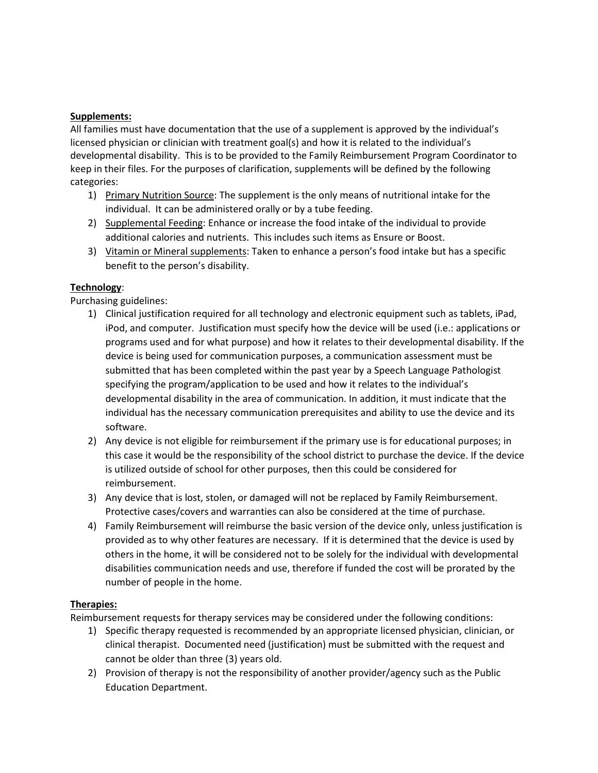#### **Supplements:**

All families must have documentation that the use of a supplement is approved by the individual's licensed physician or clinician with treatment goal(s) and how it is related to the individual's developmental disability. This is to be provided to the Family Reimbursement Program Coordinator to keep in their files. For the purposes of clarification, supplements will be defined by the following categories:

- 1) Primary Nutrition Source: The supplement is the only means of nutritional intake for the individual. It can be administered orally or by a tube feeding.
- 2) Supplemental Feeding: Enhance or increase the food intake of the individual to provide additional calories and nutrients. This includes such items as Ensure or Boost.
- 3) Vitamin or Mineral supplements: Taken to enhance a person's food intake but has a specific benefit to the person's disability.

### **Technology**:

Purchasing guidelines:

- 1) Clinical justification required for all technology and electronic equipment such as tablets, iPad, iPod, and computer. Justification must specify how the device will be used (i.e.: applications or programs used and for what purpose) and how it relates to their developmental disability. If the device is being used for communication purposes, a communication assessment must be submitted that has been completed within the past year by a Speech Language Pathologist specifying the program/application to be used and how it relates to the individual's developmental disability in the area of communication. In addition, it must indicate that the individual has the necessary communication prerequisites and ability to use the device and its software.
- 2) Any device is not eligible for reimbursement if the primary use is for educational purposes; in this case it would be the responsibility of the school district to purchase the device. If the device is utilized outside of school for other purposes, then this could be considered for reimbursement.
- 3) Any device that is lost, stolen, or damaged will not be replaced by Family Reimbursement. Protective cases/covers and warranties can also be considered at the time of purchase.
- 4) Family Reimbursement will reimburse the basic version of the device only, unless justification is provided as to why other features are necessary. If it is determined that the device is used by others in the home, it will be considered not to be solely for the individual with developmental disabilities communication needs and use, therefore if funded the cost will be prorated by the number of people in the home.

### **Therapies:**

Reimbursement requests for therapy services may be considered under the following conditions:

- 1) Specific therapy requested is recommended by an appropriate licensed physician, clinician, or clinical therapist. Documented need (justification) must be submitted with the request and cannot be older than three (3) years old.
- 2) Provision of therapy is not the responsibility of another provider/agency such as the Public Education Department.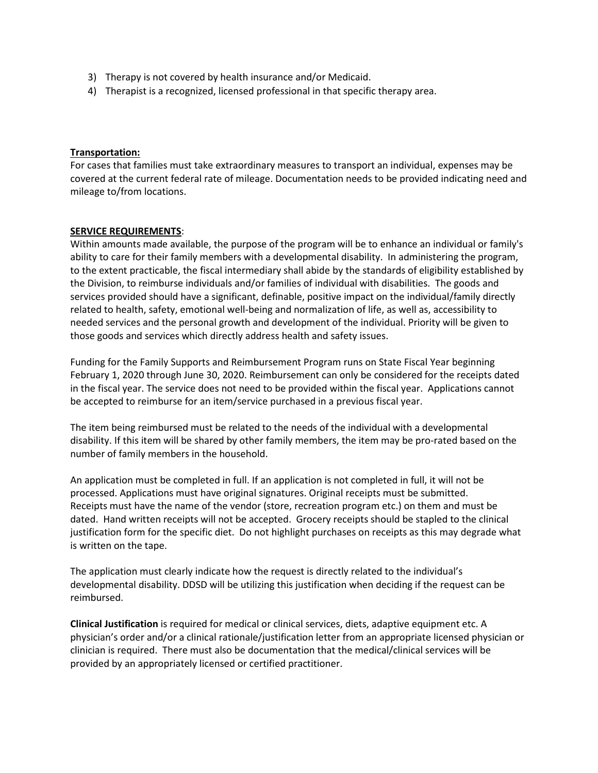- 3) Therapy is not covered by health insurance and/or Medicaid.
- 4) Therapist is a recognized, licensed professional in that specific therapy area.

#### **Transportation:**

For cases that families must take extraordinary measures to transport an individual, expenses may be covered at the current federal rate of mileage. Documentation needs to be provided indicating need and mileage to/from locations.

#### **SERVICE REQUIREMENTS**:

Within amounts made available, the purpose of the program will be to enhance an individual or family's ability to care for their family members with a developmental disability. In administering the program, to the extent practicable, the fiscal intermediary shall abide by the standards of eligibility established by the Division, to reimburse individuals and/or families of individual with disabilities. The goods and services provided should have a significant, definable, positive impact on the individual/family directly related to health, safety, emotional well-being and normalization of life, as well as, accessibility to needed services and the personal growth and development of the individual. Priority will be given to those goods and services which directly address health and safety issues.

Funding for the Family Supports and Reimbursement Program runs on State Fiscal Year beginning February 1, 2020 through June 30, 2020. Reimbursement can only be considered for the receipts dated in the fiscal year. The service does not need to be provided within the fiscal year. Applications cannot be accepted to reimburse for an item/service purchased in a previous fiscal year.

The item being reimbursed must be related to the needs of the individual with a developmental disability. If this item will be shared by other family members, the item may be pro-rated based on the number of family members in the household.

An application must be completed in full. If an application is not completed in full, it will not be processed. Applications must have original signatures. Original receipts must be submitted. Receipts must have the name of the vendor (store, recreation program etc.) on them and must be dated. Hand written receipts will not be accepted. Grocery receipts should be stapled to the clinical justification form for the specific diet. Do not highlight purchases on receipts as this may degrade what is written on the tape.

The application must clearly indicate how the request is directly related to the individual's developmental disability. DDSD will be utilizing this justification when deciding if the request can be reimbursed.

**Clinical Justification** is required for medical or clinical services, diets, adaptive equipment etc. A physician's order and/or a clinical rationale/justification letter from an appropriate licensed physician or clinician is required. There must also be documentation that the medical/clinical services will be provided by an appropriately licensed or certified practitioner.